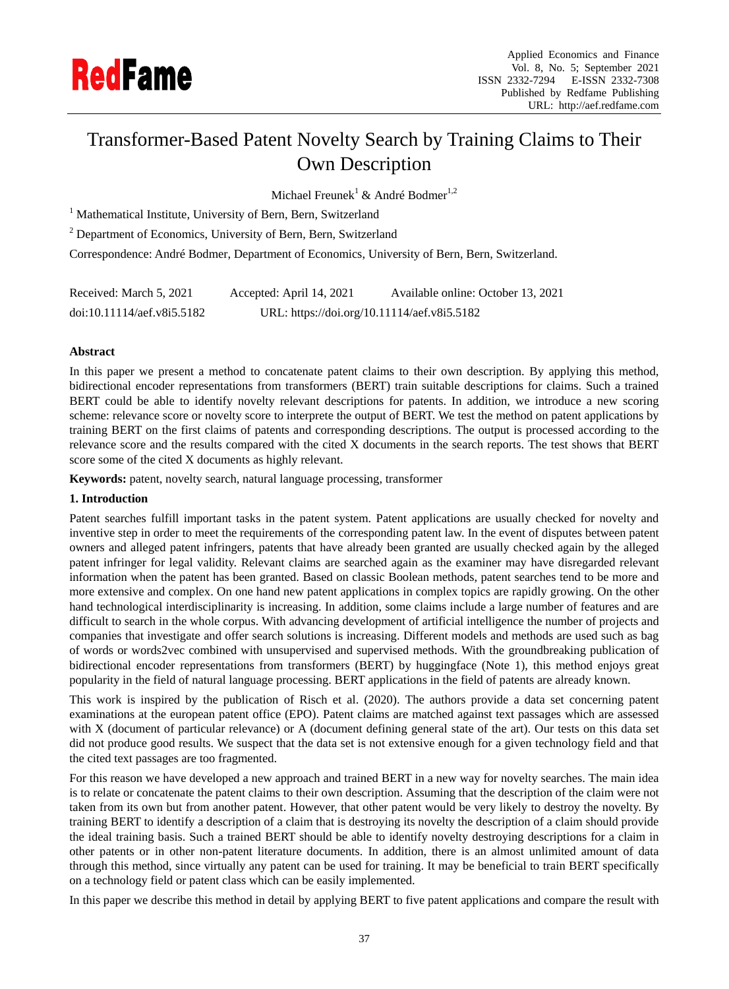

# Transformer-Based Patent Novelty Search by Training Claims to Their Own Description

Michael Freunek<sup>1</sup> & André Bodmer<sup>1,2</sup>

<sup>1</sup> Mathematical Institute, University of Bern, Bern, Switzerland

<sup>2</sup> Department of Economics, University of Bern, Bern, Switzerland

Correspondence: André Bodmer, Department of Economics, University of Bern, Bern, Switzerland.

| Received: March 5, 2021    | Accepted: April 14, 2021                    | Available online: October 13, 2021 |
|----------------------------|---------------------------------------------|------------------------------------|
| doi:10.11114/aef.v8i5.5182 | URL: https://doi.org/10.11114/aef.v8i5.5182 |                                    |

## **Abstract**

In this paper we present a method to concatenate patent claims to their own description. By applying this method, bidirectional encoder representations from transformers (BERT) train suitable descriptions for claims. Such a trained BERT could be able to identify novelty relevant descriptions for patents. In addition, we introduce a new scoring scheme: relevance score or novelty score to interprete the output of BERT. We test the method on patent applications by training BERT on the first claims of patents and corresponding descriptions. The output is processed according to the relevance score and the results compared with the cited X documents in the search reports. The test shows that BERT score some of the cited X documents as highly relevant.

**Keywords:** patent, novelty search, natural language processing, transformer

## **1. Introduction**

Patent searches fulfill important tasks in the patent system. Patent applications are usually checked for novelty and inventive step in order to meet the requirements of the corresponding patent law. In the event of disputes between patent owners and alleged patent infringers, patents that have already been granted are usually checked again by the alleged patent infringer for legal validity. Relevant claims are searched again as the examiner may have disregarded relevant information when the patent has been granted. Based on classic Boolean methods, patent searches tend to be more and more extensive and complex. On one hand new patent applications in complex topics are rapidly growing. On the other hand technological interdisciplinarity is increasing. In addition, some claims include a large number of features and are difficult to search in the whole corpus. With advancing development of artificial intelligence the number of projects and companies that investigate and offer search solutions is increasing. Different models and methods are used such as bag of words or words2vec combined with unsupervised and supervised methods. With the groundbreaking publication of bidirectional encoder representations from transformers (BERT) by huggingface (Note 1), this method enjoys great popularity in the field of natural language processing. BERT applications in the field of patents are already known.

This work is inspired by the publication of Risch et al. (2020). The authors provide a data set concerning patent examinations at the european patent office (EPO). Patent claims are matched against text passages which are assessed with X (document of particular relevance) or A (document defining general state of the art). Our tests on this data set did not produce good results. We suspect that the data set is not extensive enough for a given technology field and that the cited text passages are too fragmented.

For this reason we have developed a new approach and trained BERT in a new way for novelty searches. The main idea is to relate or concatenate the patent claims to their own description. Assuming that the description of the claim were not taken from its own but from another patent. However, that other patent would be very likely to destroy the novelty. By training BERT to identify a description of a claim that is destroying its novelty the description of a claim should provide the ideal training basis. Such a trained BERT should be able to identify novelty destroying descriptions for a claim in other patents or in other non-patent literature documents. In addition, there is an almost unlimited amount of data through this method, since virtually any patent can be used for training. It may be beneficial to train BERT specifically on a technology field or patent class which can be easily implemented.

In this paper we describe this method in detail by applying BERT to five patent applications and compare the result with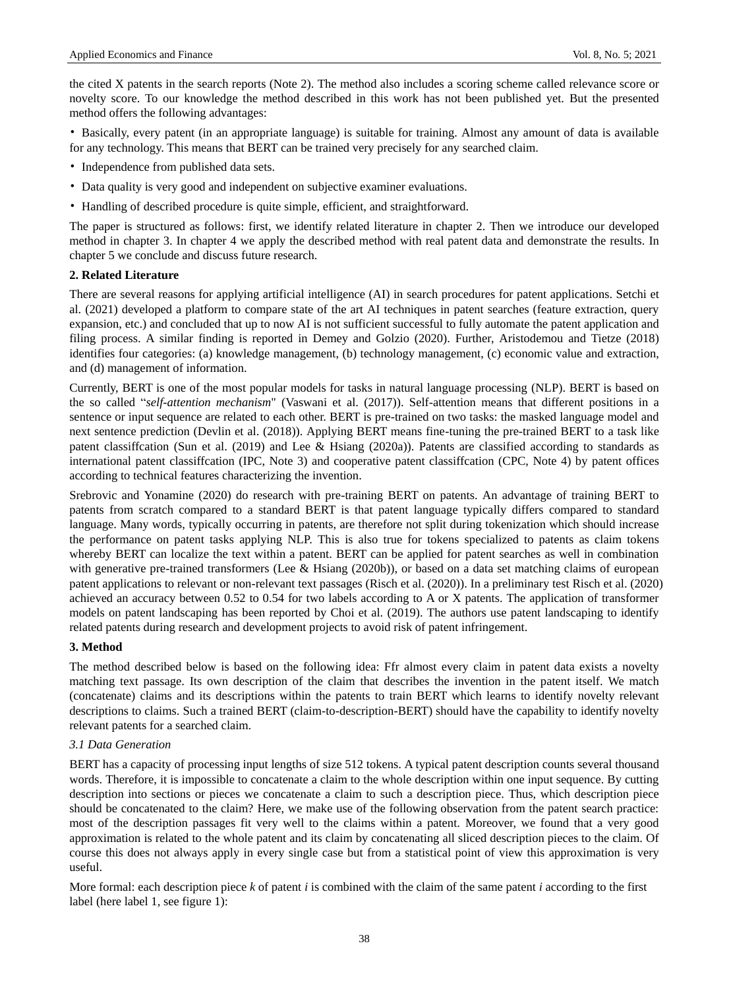the cited X patents in the search reports (Note 2). The method also includes a scoring scheme called relevance score or novelty score. To our knowledge the method described in this work has not been published yet. But the presented method offers the following advantages:

• Basically, every patent (in an appropriate language) is suitable for training. Almost any amount of data is available for any technology. This means that BERT can be trained very precisely for any searched claim.

- Independence from published data sets.
- Data quality is very good and independent on subjective examiner evaluations.
- Handling of described procedure is quite simple, efficient, and straightforward.

The paper is structured as follows: first, we identify related literature in chapter 2. Then we introduce our developed method in chapter 3. In chapter 4 we apply the described method with real patent data and demonstrate the results. In chapter 5 we conclude and discuss future research.

## **2. Related Literature**

There are several reasons for applying artificial intelligence (AI) in search procedures for patent applications. Setchi et al. (2021) developed a platform to compare state of the art AI techniques in patent searches (feature extraction, query expansion, etc.) and concluded that up to now AI is not sufficient successful to fully automate the patent application and filing process. A similar finding is reported in Demey and Golzio (2020). Further, Aristodemou and Tietze (2018) identifies four categories: (a) knowledge management, (b) technology management, (c) economic value and extraction, and (d) management of information.

Currently, BERT is one of the most popular models for tasks in natural language processing (NLP). BERT is based on the so called "*self-attention mechanism*" (Vaswani et al. (2017)). Self-attention means that different positions in a sentence or input sequence are related to each other. BERT is pre-trained on two tasks: the masked language model and next sentence prediction (Devlin et al. (2018)). Applying BERT means fine-tuning the pre-trained BERT to a task like patent classiffcation (Sun et al. (2019) and Lee & Hsiang (2020a)). Patents are classified according to standards as international patent classiffcation (IPC, Note 3) and cooperative patent classiffcation (CPC, Note 4) by patent offices according to technical features characterizing the invention.

Srebrovic and Yonamine (2020) do research with pre-training BERT on patents. An advantage of training BERT to patents from scratch compared to a standard BERT is that patent language typically differs compared to standard language. Many words, typically occurring in patents, are therefore not split during tokenization which should increase the performance on patent tasks applying NLP. This is also true for tokens specialized to patents as claim tokens whereby BERT can localize the text within a patent. BERT can be applied for patent searches as well in combination with generative pre-trained transformers (Lee & Hsiang (2020b)), or based on a data set matching claims of european patent applications to relevant or non-relevant text passages (Risch et al. (2020)). In a preliminary test Risch et al. (2020) achieved an accuracy between 0.52 to 0.54 for two labels according to A or X patents. The application of transformer models on patent landscaping has been reported by Choi et al. (2019). The authors use patent landscaping to identify related patents during research and development projects to avoid risk of patent infringement.

## **3. Method**

The method described below is based on the following idea: Ffr almost every claim in patent data exists a novelty matching text passage. Its own description of the claim that describes the invention in the patent itself. We match (concatenate) claims and its descriptions within the patents to train BERT which learns to identify novelty relevant descriptions to claims. Such a trained BERT (claim-to-description-BERT) should have the capability to identify novelty relevant patents for a searched claim.

### *3.1 Data Generation*

BERT has a capacity of processing input lengths of size 512 tokens. A typical patent description counts several thousand words. Therefore, it is impossible to concatenate a claim to the whole description within one input sequence. By cutting description into sections or pieces we concatenate a claim to such a description piece. Thus, which description piece should be concatenated to the claim? Here, we make use of the following observation from the patent search practice: most of the description passages fit very well to the claims within a patent. Moreover, we found that a very good approximation is related to the whole patent and its claim by concatenating all sliced description pieces to the claim. Of course this does not always apply in every single case but from a statistical point of view this approximation is very useful.

More formal: each description piece *k* of patent *i* is combined with the claim of the same patent *i* according to the first label (here label 1, see figure 1):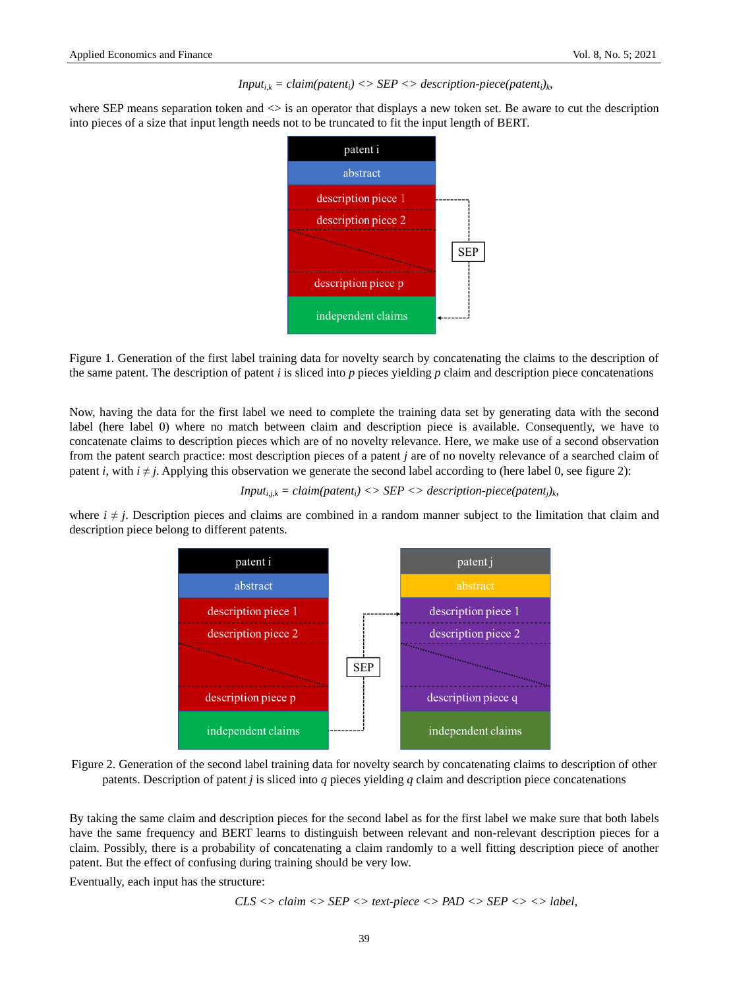#### *Input*<sub>*ik*</sub> = *claim(patent<sub>i</sub>) <> SEP <> description-piece(patent<sub>i</sub>)<sub><i>k*</sub></sub>  $,$

where SEP means separation token and  $\leq$  is an operator that displays a new token set. Be aware to cut the description into pieces of a size that input length needs not to be truncated to fit the input length of BERT.



Figure 1. Generation of the first label training data for novelty search by concatenating the claims to the description of the same patent. The description of patent *i* is sliced into *p* pieces yielding *p* claim and description piece concatenations

Now, having the data for the first label we need to complete the training data set by generating data with the second label (here label 0) where no match between claim and description piece is available. Consequently, we have to concatenate claims to description pieces which are of no novelty relevance. Here, we make use of a second observation from the patent search practice: most description pieces of a patent *j* are of no novelty relevance of a searched claim of patent *i*, with  $i \neq j$ . Applying this observation we generate the second label according to (here label 0, see figure 2):

$$
Input_{i,j,k} = claim(path_i) \ll SEP \ll description-piece(path_j)_k,
$$

where  $i \neq j$ . Description pieces and claims are combined in a random manner subject to the limitation that claim and description piece belong to different patents.





By taking the same claim and description pieces for the second label as for the first label we make sure that both labels have the same frequency and BERT learns to distinguish between relevant and non-relevant description pieces for a claim. Possibly, there is a probability of concatenating a claim randomly to a well fitting description piece of another patent. But the effect of confusing during training should be very low.

Eventually, each input has the structure:

$$
CLS \iff claim \iff SEP \iff text\text{-}piece \iff PAD \iff SEP \iff \land \text{-}Step \iff label,
$$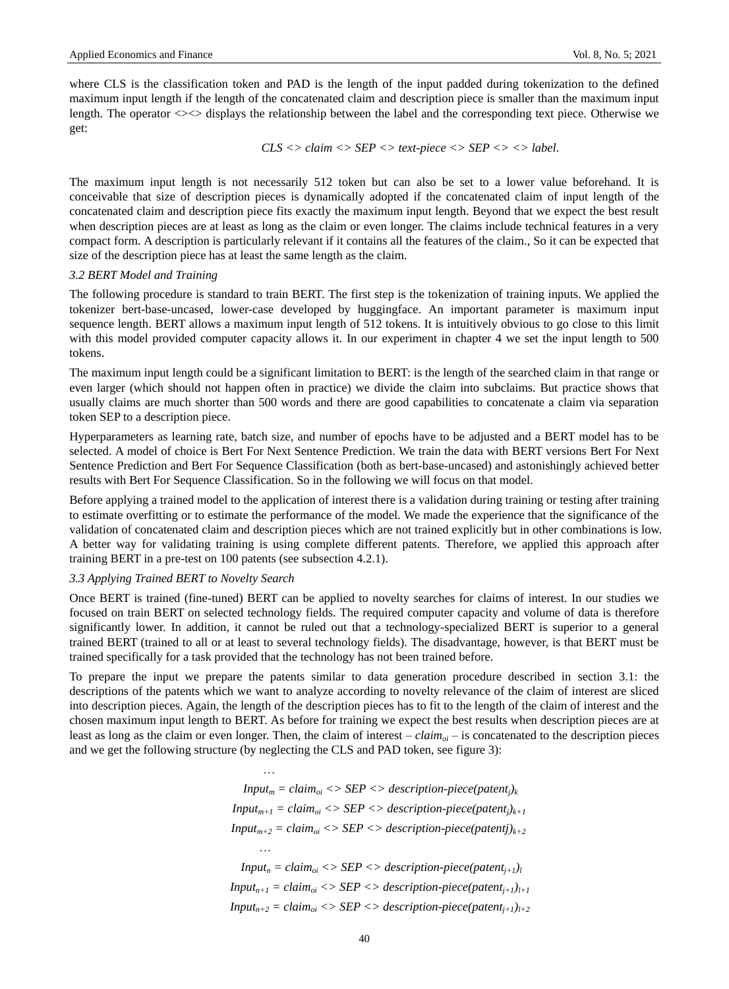where CLS is the classification token and PAD is the length of the input padded during tokenization to the defined maximum input length if the length of the concatenated claim and description piece is smaller than the maximum input length. The operator  $\ll$  displays the relationship between the label and the corresponding text piece. Otherwise we get:

$$
CLS \ll claim \ll SEP \ll text\text{-}piece \ll SEP \ll \ll \text{label}.
$$

The maximum input length is not necessarily 512 token but can also be set to a lower value beforehand. It is conceivable that size of description pieces is dynamically adopted if the concatenated claim of input length of the concatenated claim and description piece fits exactly the maximum input length. Beyond that we expect the best result when description pieces are at least as long as the claim or even longer. The claims include technical features in a very compact form. A description is particularly relevant if it contains all the features of the claim., So it can be expected that size of the description piece has at least the same length as the claim.

## *3.2 BERT Model and Training*

The following procedure is standard to train BERT. The first step is the tokenization of training inputs. We applied the tokenizer bert-base-uncased, lower-case developed by huggingface. An important parameter is maximum input sequence length. BERT allows a maximum input length of 512 tokens. It is intuitively obvious to go close to this limit with this model provided computer capacity allows it. In our experiment in chapter 4 we set the input length to 500 tokens.

The maximum input length could be a significant limitation to BERT: is the length of the searched claim in that range or even larger (which should not happen often in practice) we divide the claim into subclaims. But practice shows that usually claims are much shorter than 500 words and there are good capabilities to concatenate a claim via separation token SEP to a description piece.

Hyperparameters as learning rate, batch size, and number of epochs have to be adjusted and a BERT model has to be selected. A model of choice is Bert For Next Sentence Prediction. We train the data with BERT versions Bert For Next Sentence Prediction and Bert For Sequence Classification (both as bert-base-uncased) and astonishingly achieved better results with Bert For Sequence Classification. So in the following we will focus on that model.

Before applying a trained model to the application of interest there is a validation during training or testing after training to estimate overfitting or to estimate the performance of the model. We made the experience that the significance of the validation of concatenated claim and description pieces which are not trained explicitly but in other combinations is low. A better way for validating training is using complete different patents. Therefore, we applied this approach after training BERT in a pre-test on 100 patents (see subsection 4.2.1).

## *3.3 Applying Trained BERT to Novelty Search*

Once BERT is trained (fine-tuned) BERT can be applied to novelty searches for claims of interest. In our studies we focused on train BERT on selected technology fields. The required computer capacity and volume of data is therefore significantly lower. In addition, it cannot be ruled out that a technology-specialized BERT is superior to a general trained BERT (trained to all or at least to several technology fields). The disadvantage, however, is that BERT must be trained specifically for a task provided that the technology has not been trained before.

To prepare the input we prepare the patents similar to data generation procedure described in section 3.1: the descriptions of the patents which we want to analyze according to novelty relevance of the claim of interest are sliced into description pieces. Again, the length of the description pieces has to fit to the length of the claim of interest and the chosen maximum input length to BERT. As before for training we expect the best results when description pieces are at least as long as the claim or even longer. Then, the claim of interest – *claimoi* – is concatenated to the description pieces and we get the following structure (by neglecting the CLS and PAD token, see figure 3):

> … *, Input<sub>m</sub>* = *claim*<sub>oi</sub>  $\langle$  > *SEP*  $\langle$  > *description-piece(patent*<sub>*i*</sub>)*k Input<sub>m+1</sub>* = *claim*<sub>*oi*</sub> <> *SEP* <> *description-piece(patent<sub>i</sub>)*<sub>*k+1*</sub>  $Input_{m+2} = claim_{oi} \iff SEP \iff description-piece(pathj)_{k+2}$ … *, Input<sub>n</sub>* = *claim*<sub>*oi*</sub> <> *SEP* <> *description-piece(patent<sub><i>i+1)l*</sub> *Input<sub>n+1</sub>* = *claim*<sub>oi</sub> <> *SEP <> description-piece(patent<sub>i+1</sub>)*<sub>*l+1*</sub>  $Input_{n+2} = claim_{oi} \iff SEP \iff description\text{-}piece(path_{j+1})_{l+2}$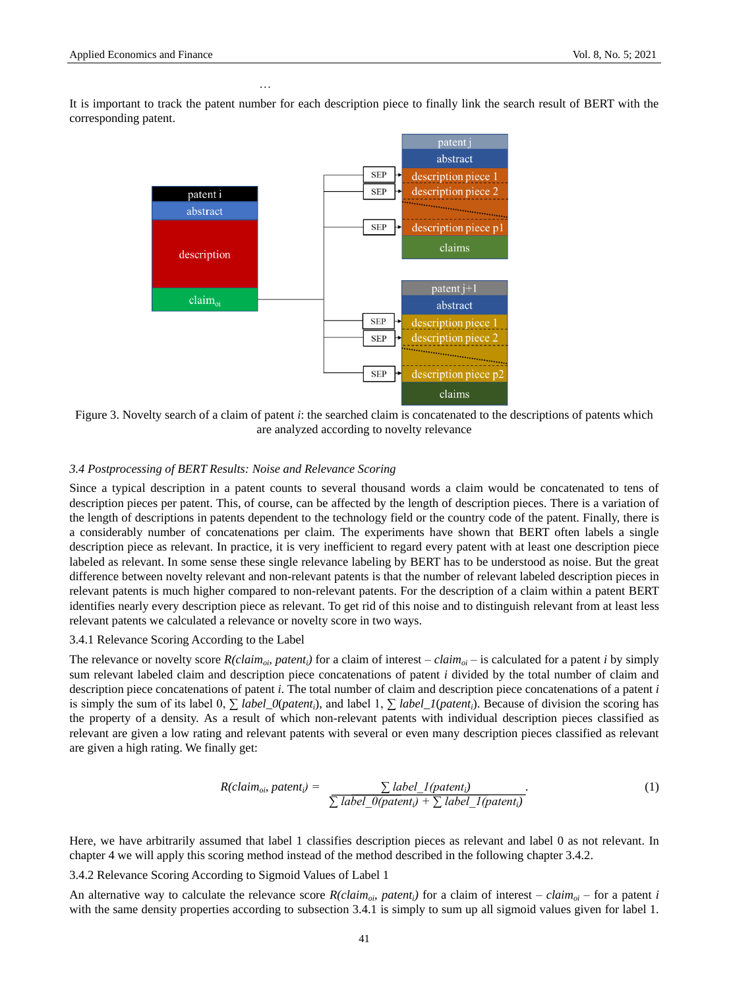It is important to track the patent number for each description piece to finally link the search result of BERT with the corresponding patent.

… *,*



Figure 3. Novelty search of a claim of patent *i*: the searched claim is concatenated to the descriptions of patents which are analyzed according to novelty relevance

## *3.4 Postprocessing of BERT Results: Noise and Relevance Scoring*

Since a typical description in a patent counts to several thousand words a claim would be concatenated to tens of description pieces per patent. This, of course, can be affected by the length of description pieces. There is a variation of the length of descriptions in patents dependent to the technology field or the country code of the patent. Finally, there is a considerably number of concatenations per claim. The experiments have shown that BERT often labels a single description piece as relevant. In practice, it is very inefficient to regard every patent with at least one description piece labeled as relevant. In some sense these single relevance labeling by BERT has to be understood as noise. But the great difference between novelty relevant and non-relevant patents is that the number of relevant labeled description pieces in relevant patents is much higher compared to non-relevant patents. For the description of a claim within a patent BERT identifies nearly every description piece as relevant. To get rid of this noise and to distinguish relevant from at least less relevant patents we calculated a relevance or novelty score in two ways.

## 3.4.1 Relevance Scoring According to the Label

The relevance or novelty score  $R(claim_{oi}$ , patent<sub>*i*</sub>) for a claim of interest –  $claim_{oi}$  – is calculated for a patent *i* by simply sum relevant labeled claim and description piece concatenations of patent *i* divided by the total number of claim and description piece concatenations of patent *i*. The total number of claim and description piece concatenations of a patent *i* is simply the sum of its label 0, ∑ *label\_0*(*patenti*), and label 1, ∑ *label\_1*(*patenti*). Because of division the scoring has the property of a density. As a result of which non-relevant patents with individual description pieces classified as relevant are given a low rating and relevant patents with several or even many description pieces classified as relevant are given a high rating. We finally get:

$$
R(claim_{ob} patent_i) = \frac{\sum label_l(paten_t)}{\sum label_l(paten_t) + \sum label_l(paten_t)}.
$$
\n(1)

Here, we have arbitrarily assumed that label 1 classifies description pieces as relevant and label 0 as not relevant. In chapter 4 we will apply this scoring method instead of the method described in the following chapter 3.4.2.

3.4.2 Relevance Scoring According to Sigmoid Values of Label 1

An alternative way to calculate the relevance score  $R(claim_{\rho i}$  *patent<sub>i</sub>*) for a claim of interest – *claim*<sub>*oi*</sub> – for a patent *i* with the same density properties according to subsection 3.4.1 is simply to sum up all sigmoid values given for label 1.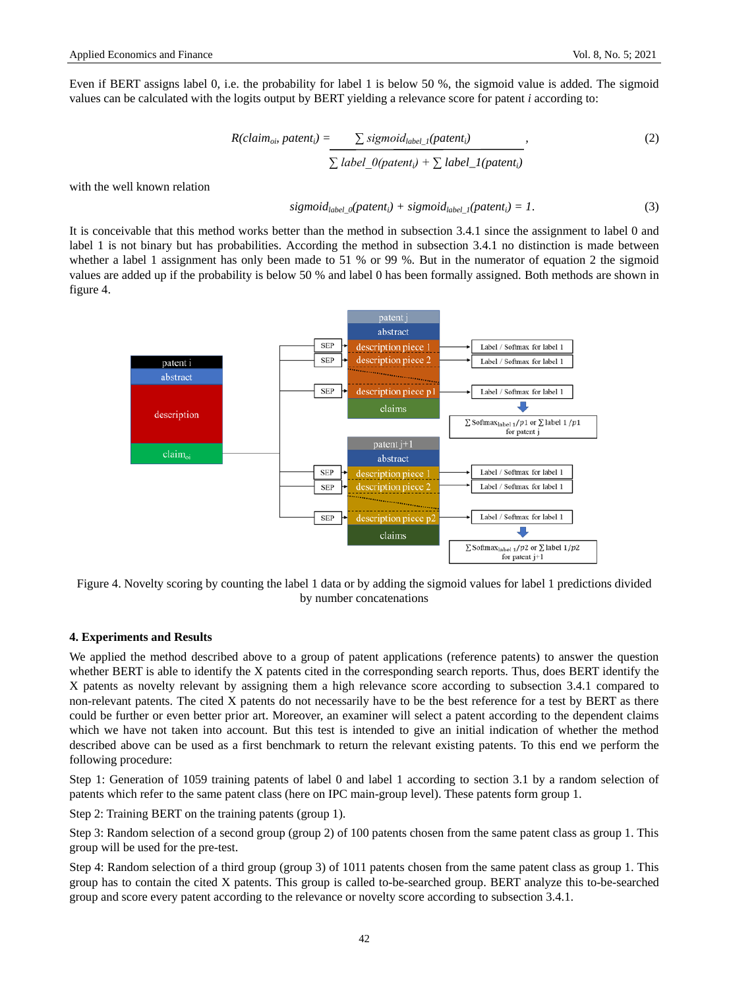$$
R(claimob patenti) = \sum sigmoidlabel_1(patterni)
$$
  

$$
\sum label_{0}(patterni) + \sum label_{1}(patterni)
$$
 (2)

with the well known relation

$$
sigmoid_{label\_0}(pattern_i) + sigmoid_{label\_1}(pattern_i) = 1.
$$
 (3)

It is conceivable that this method works better than the method in subsection 3.4.1 since the assignment to label 0 and label 1 is not binary but has probabilities. According the method in subsection 3.4.1 no distinction is made between whether a label 1 assignment has only been made to 51 % or 99 %. But in the numerator of equation 2 the sigmoid values are added up if the probability is below 50 % and label 0 has been formally assigned. Both methods are shown in figure 4.



Figure 4. Novelty scoring by counting the label 1 data or by adding the sigmoid values for label 1 predictions divided by number concatenations

## **4. Experiments and Results**

We applied the method described above to a group of patent applications (reference patents) to answer the question whether BERT is able to identify the X patents cited in the corresponding search reports. Thus, does BERT identify the X patents as novelty relevant by assigning them a high relevance score according to subsection 3.4.1 compared to non-relevant patents. The cited X patents do not necessarily have to be the best reference for a test by BERT as there could be further or even better prior art. Moreover, an examiner will select a patent according to the dependent claims which we have not taken into account. But this test is intended to give an initial indication of whether the method described above can be used as a first benchmark to return the relevant existing patents. To this end we perform the following procedure:

Step 1: Generation of 1059 training patents of label 0 and label 1 according to section 3.1 by a random selection of patents which refer to the same patent class (here on IPC main-group level). These patents form group 1.

Step 2: Training BERT on the training patents (group 1).

Step 3: Random selection of a second group (group 2) of 100 patents chosen from the same patent class as group 1. This group will be used for the pre-test.

Step 4: Random selection of a third group (group 3) of 1011 patents chosen from the same patent class as group 1. This group has to contain the cited X patents. This group is called to-be-searched group. BERT analyze this to-be-searched group and score every patent according to the relevance or novelty score according to subsection 3.4.1.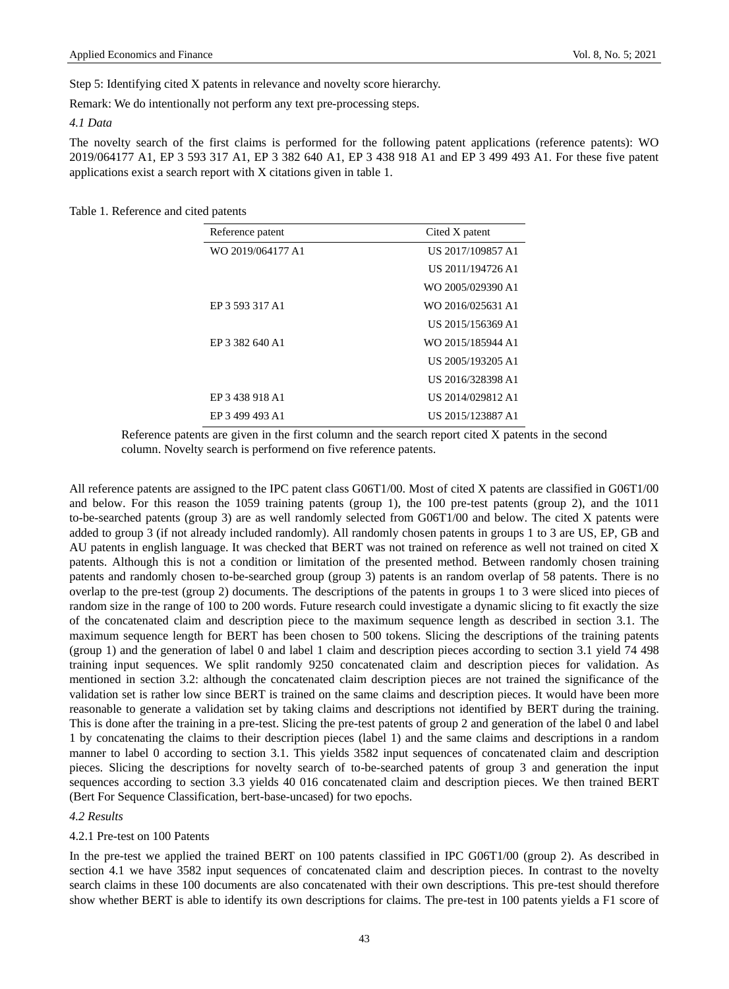Step 5: Identifying cited X patents in relevance and novelty score hierarchy.

Remark: We do intentionally not perform any text pre-processing steps.

#### *4.1 Data*

The novelty search of the first claims is performed for the following patent applications (reference patents): WO 2019/064177 A1, EP 3 593 317 A1, EP 3 382 640 A1, EP 3 438 918 A1 and EP 3 499 493 A1. For these five patent applications exist a search report with X citations given in table 1.

#### Table 1. Reference and cited patents

| Reference patent  | Cited X patent    |  |
|-------------------|-------------------|--|
| WO 2019/064177 A1 | US 2017/109857 A1 |  |
|                   | US 2011/194726 A1 |  |
|                   | WO 2005/029390 A1 |  |
| EP 3 593 317 A1   | WO 2016/025631 A1 |  |
|                   | US 2015/156369 A1 |  |
| EP 3 382 640 A1   | WO 2015/185944 A1 |  |
|                   | US 2005/193205 A1 |  |
|                   | US 2016/328398 A1 |  |
| EP 3 438 918 A1   | US 2014/029812 A1 |  |
| EP 3 499 493 A1   | US 2015/123887 A1 |  |

Reference patents are given in the first column and the search report cited X patents in the second column. Novelty search is performend on five reference patents.

All reference patents are assigned to the IPC patent class G06T1/00. Most of cited X patents are classified in G06T1/00 and below. For this reason the 1059 training patents (group 1), the 100 pre-test patents (group 2), and the 1011 to-be-searched patents (group 3) are as well randomly selected from G06T1/00 and below. The cited X patents were added to group 3 (if not already included randomly). All randomly chosen patents in groups 1 to 3 are US, EP, GB and AU patents in english language. It was checked that BERT was not trained on reference as well not trained on cited X patents. Although this is not a condition or limitation of the presented method. Between randomly chosen training patents and randomly chosen to-be-searched group (group 3) patents is an random overlap of 58 patents. There is no overlap to the pre-test (group 2) documents. The descriptions of the patents in groups 1 to 3 were sliced into pieces of random size in the range of 100 to 200 words. Future research could investigate a dynamic slicing to fit exactly the size of the concatenated claim and description piece to the maximum sequence length as described in section 3.1. The maximum sequence length for BERT has been chosen to 500 tokens. Slicing the descriptions of the training patents (group 1) and the generation of label 0 and label 1 claim and description pieces according to section 3.1 yield 74 498 training input sequences. We split randomly 9250 concatenated claim and description pieces for validation. As mentioned in section 3.2: although the concatenated claim description pieces are not trained the significance of the validation set is rather low since BERT is trained on the same claims and description pieces. It would have been more reasonable to generate a validation set by taking claims and descriptions not identified by BERT during the training. This is done after the training in a pre-test. Slicing the pre-test patents of group 2 and generation of the label 0 and label 1 by concatenating the claims to their description pieces (label 1) and the same claims and descriptions in a random manner to label 0 according to section 3.1. This yields 3582 input sequences of concatenated claim and description pieces. Slicing the descriptions for novelty search of to-be-searched patents of group 3 and generation the input sequences according to section 3.3 yields 40 016 concatenated claim and description pieces. We then trained BERT (Bert For Sequence Classification, bert-base-uncased) for two epochs.

### *4.2 Results*

#### 4.2.1 Pre-test on 100 Patents

In the pre-test we applied the trained BERT on 100 patents classified in IPC G06T1/00 (group 2). As described in section 4.1 we have 3582 input sequences of concatenated claim and description pieces. In contrast to the novelty search claims in these 100 documents are also concatenated with their own descriptions. This pre-test should therefore show whether BERT is able to identify its own descriptions for claims. The pre-test in 100 patents yields a F1 score of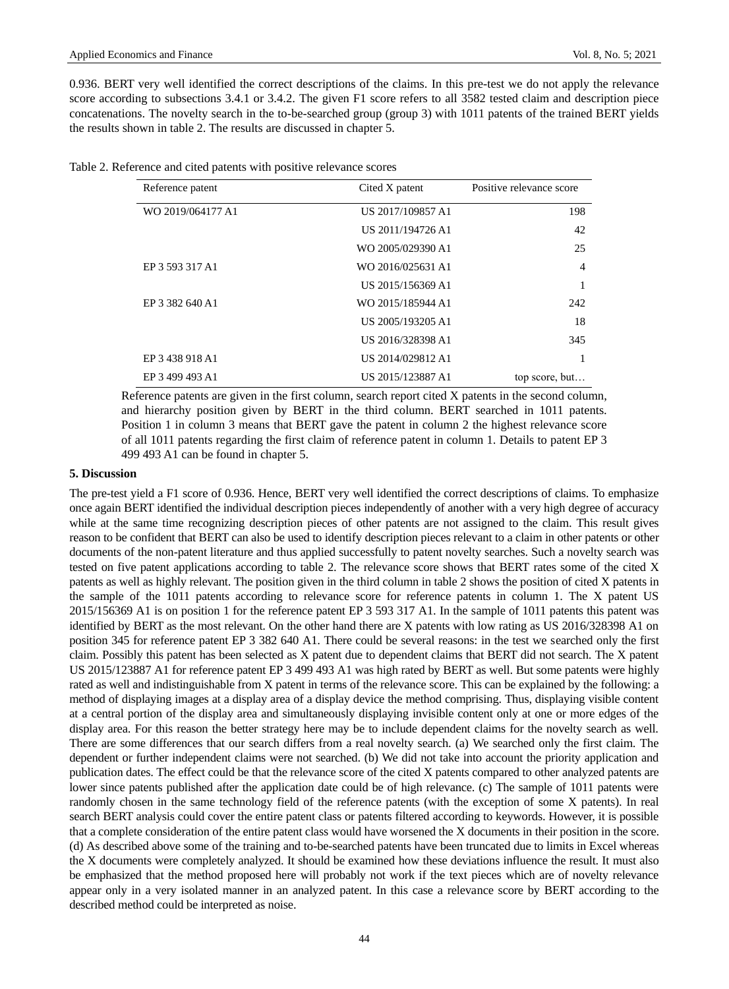0.936. BERT very well identified the correct descriptions of the claims. In this pre-test we do not apply the relevance score according to subsections 3.4.1 or 3.4.2. The given F1 score refers to all 3582 tested claim and description piece concatenations. The novelty search in the to-be-searched group (group 3) with 1011 patents of the trained BERT yields the results shown in table 2. The results are discussed in chapter 5.

| Reference patent  | Cited X patent    | Positive relevance score |
|-------------------|-------------------|--------------------------|
| WO 2019/064177 A1 | US 2017/109857 A1 | 198                      |
|                   | US 2011/194726 A1 | 42                       |
|                   | WO 2005/029390 A1 | 25                       |
| EP 3 593 317 A1   | WO 2016/025631 A1 | $\overline{4}$           |
|                   | US 2015/156369 A1 |                          |
| EP 3 382 640 A1   | WO 2015/185944 A1 | 242                      |
|                   | US 2005/193205 A1 | 18                       |
|                   | US 2016/328398 A1 | 345                      |
| EP 3 438 918 A1   | US 2014/029812 A1 |                          |
| EP 3 499 493 A1   | US 2015/123887 A1 | top score, but           |

Reference patents are given in the first column, search report cited X patents in the second column, and hierarchy position given by BERT in the third column. BERT searched in 1011 patents. Position 1 in column 3 means that BERT gave the patent in column 2 the highest relevance score of all 1011 patents regarding the first claim of reference patent in column 1. Details to patent EP 3 499 493 A1 can be found in chapter 5.

#### **5. Discussion**

The pre-test yield a F1 score of 0.936. Hence, BERT very well identified the correct descriptions of claims. To emphasize once again BERT identified the individual description pieces independently of another with a very high degree of accuracy while at the same time recognizing description pieces of other patents are not assigned to the claim. This result gives reason to be confident that BERT can also be used to identify description pieces relevant to a claim in other patents or other documents of the non-patent literature and thus applied successfully to patent novelty searches. Such a novelty search was tested on five patent applications according to table 2. The relevance score shows that BERT rates some of the cited X patents as well as highly relevant. The position given in the third column in table 2 shows the position of cited X patents in the sample of the 1011 patents according to relevance score for reference patents in column 1. The X patent US 2015/156369 A1 is on position 1 for the reference patent EP 3 593 317 A1. In the sample of 1011 patents this patent was identified by BERT as the most relevant. On the other hand there are X patents with low rating as US 2016/328398 A1 on position 345 for reference patent EP 3 382 640 A1. There could be several reasons: in the test we searched only the first claim. Possibly this patent has been selected as X patent due to dependent claims that BERT did not search. The X patent US 2015/123887 A1 for reference patent EP 3 499 493 A1 was high rated by BERT as well. But some patents were highly rated as well and indistinguishable from X patent in terms of the relevance score. This can be explained by the following: a method of displaying images at a display area of a display device the method comprising. Thus, displaying visible content at a central portion of the display area and simultaneously displaying invisible content only at one or more edges of the display area. For this reason the better strategy here may be to include dependent claims for the novelty search as well. There are some differences that our search differs from a real novelty search. (a) We searched only the first claim. The dependent or further independent claims were not searched. (b) We did not take into account the priority application and publication dates. The effect could be that the relevance score of the cited X patents compared to other analyzed patents are lower since patents published after the application date could be of high relevance. (c) The sample of 1011 patents were randomly chosen in the same technology field of the reference patents (with the exception of some X patents). In real search BERT analysis could cover the entire patent class or patents filtered according to keywords. However, it is possible that a complete consideration of the entire patent class would have worsened the X documents in their position in the score. (d) As described above some of the training and to-be-searched patents have been truncated due to limits in Excel whereas the X documents were completely analyzed. It should be examined how these deviations influence the result. It must also be emphasized that the method proposed here will probably not work if the text pieces which are of novelty relevance appear only in a very isolated manner in an analyzed patent. In this case a relevance score by BERT according to the described method could be interpreted as noise.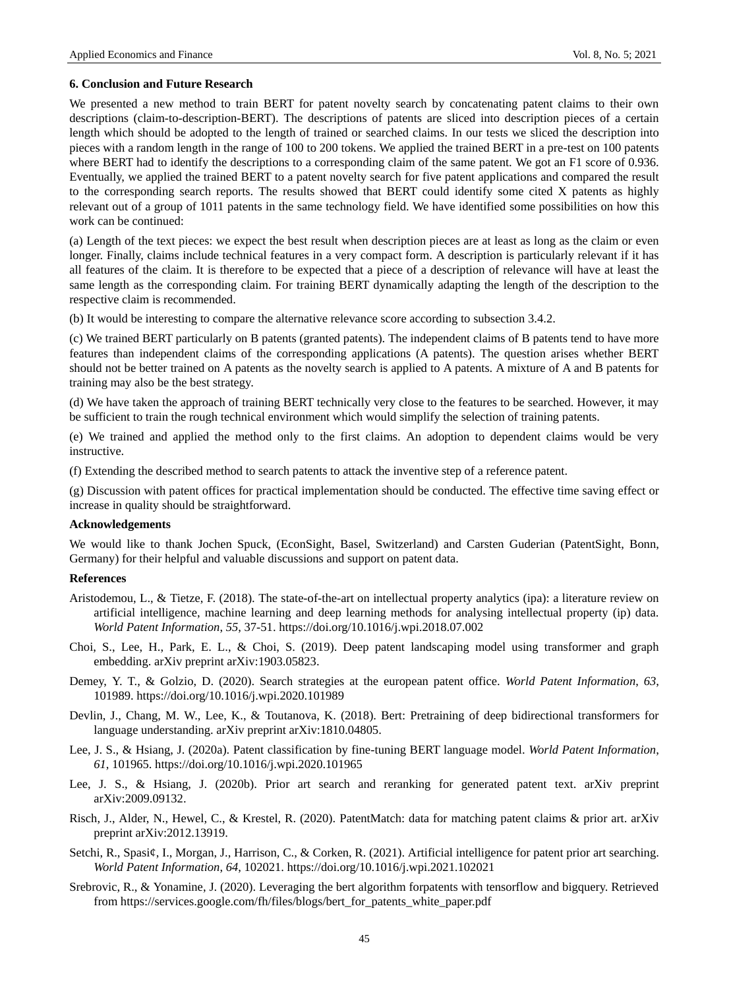#### **6. Conclusion and Future Research**

We presented a new method to train BERT for patent novelty search by concatenating patent claims to their own descriptions (claim-to-description-BERT). The descriptions of patents are sliced into description pieces of a certain length which should be adopted to the length of trained or searched claims. In our tests we sliced the description into pieces with a random length in the range of 100 to 200 tokens. We applied the trained BERT in a pre-test on 100 patents where BERT had to identify the descriptions to a corresponding claim of the same patent. We got an F1 score of 0.936. Eventually, we applied the trained BERT to a patent novelty search for five patent applications and compared the result to the corresponding search reports. The results showed that BERT could identify some cited X patents as highly relevant out of a group of 1011 patents in the same technology field. We have identified some possibilities on how this work can be continued:

(a) Length of the text pieces: we expect the best result when description pieces are at least as long as the claim or even longer. Finally, claims include technical features in a very compact form. A description is particularly relevant if it has all features of the claim. It is therefore to be expected that a piece of a description of relevance will have at least the same length as the corresponding claim. For training BERT dynamically adapting the length of the description to the respective claim is recommended.

(b) It would be interesting to compare the alternative relevance score according to subsection 3.4.2.

(c) We trained BERT particularly on B patents (granted patents). The independent claims of B patents tend to have more features than independent claims of the corresponding applications (A patents). The question arises whether BERT should not be better trained on A patents as the novelty search is applied to A patents. A mixture of A and B patents for training may also be the best strategy.

(d) We have taken the approach of training BERT technically very close to the features to be searched. However, it may be sufficient to train the rough technical environment which would simplify the selection of training patents.

(e) We trained and applied the method only to the first claims. An adoption to dependent claims would be very instructive.

(f) Extending the described method to search patents to attack the inventive step of a reference patent.

(g) Discussion with patent offices for practical implementation should be conducted. The effective time saving effect or increase in quality should be straightforward.

### **Acknowledgements**

We would like to thank Jochen Spuck, (EconSight, Basel, Switzerland) and Carsten Guderian (PatentSight, Bonn, Germany) for their helpful and valuable discussions and support on patent data.

#### **References**

- Aristodemou, L., & Tietze, F. (2018). The state-of-the-art on intellectual property analytics (ipa): a literature review on artificial intelligence, machine learning and deep learning methods for analysing intellectual property (ip) data. *World Patent Information*, *55*, 37-51. https://doi.org/10.1016/j.wpi.2018.07.002
- Choi, S., Lee, H., Park, E. L., & Choi, S. (2019). Deep patent landscaping model using transformer and graph embedding. arXiv preprint arXiv:1903.05823.
- Demey, Y. T., & Golzio, D. (2020). Search strategies at the european patent office. *World Patent Information*, *63*, 101989. https://doi.org/10.1016/j.wpi.2020.101989
- Devlin, J., Chang, M. W., Lee, K., & Toutanova, K. (2018). Bert: Pretraining of deep bidirectional transformers for language understanding. arXiv preprint arXiv:1810.04805.
- Lee, J. S., & Hsiang, J. (2020a). Patent classification by fine-tuning BERT language model. *World Patent Information*, *61*, 101965. https://doi.org/10.1016/j.wpi.2020.101965
- Lee, J. S., & Hsiang, J. (2020b). Prior art search and reranking for generated patent text. arXiv preprint arXiv:2009.09132.
- Risch, J., Alder, N., Hewel, C., & Krestel, R. (2020). PatentMatch: data for matching patent claims & prior art. arXiv preprint arXiv:2012.13919.
- Setchi, R., Spasi ¢, I., Morgan, J., Harrison, C., & Corken, R. (2021). Artificial intelligence for patent prior art searching. *World Patent Information*, *64*, 102021. https://doi.org/10.1016/j.wpi.2021.102021
- Srebrovic, R., & Yonamine, J. (2020). Leveraging the bert algorithm forpatents with tensorflow and bigquery. Retrieved from https://services.google.com/fh/files/blogs/bert\_for\_patents\_white\_paper.pdf